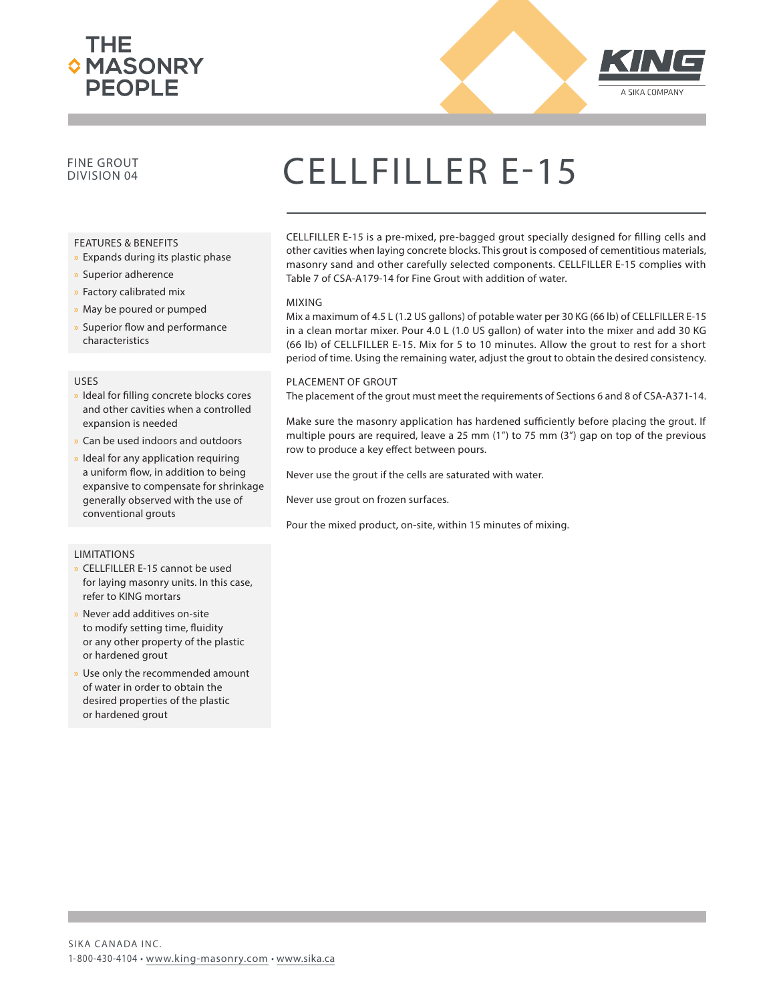



### FINE GROUT

#### FEATURES & BENEFITS

- » Expands during its plastic phase
- x Superior adherence
- x Factory calibrated mix
- » May be poured or pumped
- » Superior flow and performance characteristics

#### USES

- » Ideal for filling concrete blocks cores and other cavities when a controlled expansion is needed
- Can be used indoors and outdoors
- Ideal for any application requiring a uniform flow, in addition to being expansive to compensate for shrinkage generally observed with the use of conventional grouts

#### LIMITATIONS

- » CELLFILLER E-15 cannot be used for laying masonry units. In this case, refer to KING mortars
- Never add additives on-site to modify setting time, fluidity or any other property of the plastic or hardened grout
- Use only the recommended amount of water in order to obtain the desired properties of the plastic or hardened grout

## CELLFILLER E-15

CELLFILLER E-15 is a pre-mixed, pre-bagged grout specially designed for filling cells and other cavities when laying concrete blocks. This grout is composed of cementitious materials, masonry sand and other carefully selected components. CELLFILLER E-15 complies with Table 7 of CSA-A179-14 for Fine Grout with addition of water.

#### MIXING

Mix a maximum of 4.5 L (1.2 US gallons) of potable water per 30 KG (66 lb) of CELLFILLER E-15 in a clean mortar mixer. Pour 4.0 L (1.0 US gallon) of water into the mixer and add 30 KG (66 lb) of CELLFILLER E-15. Mix for 5 to 10 minutes. Allow the grout to rest for a short period of time. Using the remaining water, adjust the grout to obtain the desired consistency.

#### PLACEMENT OF GROUT

The placement of the grout must meet the requirements of Sections 6 and 8 of CSA-A371-14.

Make sure the masonry application has hardened sufficiently before placing the grout. If multiple pours are required, leave a 25 mm (1") to 75 mm (3") gap on top of the previous row to produce a key effect between pours.

Never use the grout if the cells are saturated with water.

Never use grout on frozen surfaces.

Pour the mixed product, on-site, within 15 minutes of mixing.